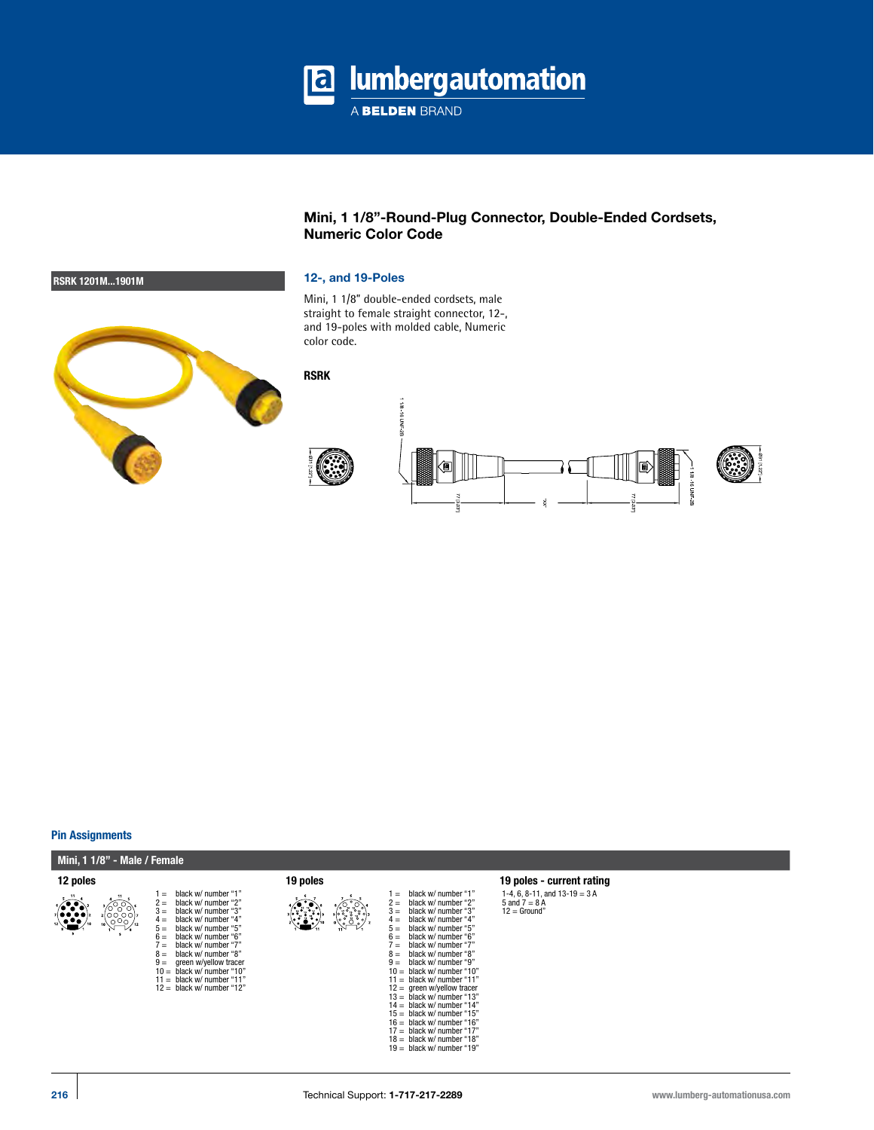

# **Mini, 1 1/8"-Round-Plug Connector, Double-Ended Cordsets, Numeric Color Code**

Mini, 1 1/8" double-ended cordsets, male straight to female straight connector, 12-, and 19-poles with molded cable, Numeric color code.





### **Pin Assignments**

### **Mini, 1 1/8" - Male / Female**













1-4, 6, 8-11, and 13-19 = 3 A<br>5 and 7 = 8 A<br>12 = Ground"